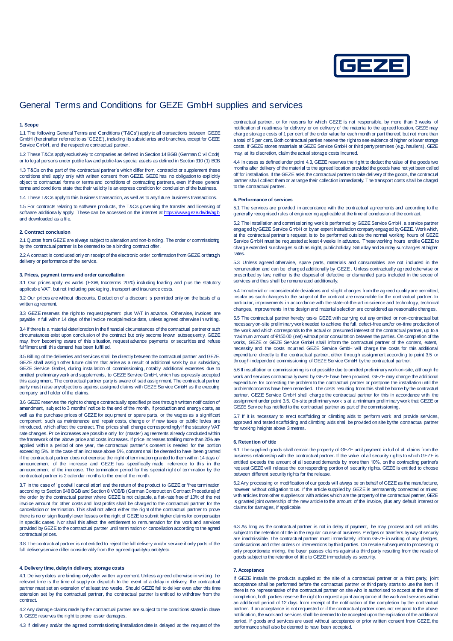

# General Terms and Conditions for GEZE GmbH supplies and services

#### **1. Scope**

1.1 The following General Terms and Conditions ('T&Cs') apply to all transactions between GEZE GmbH (hereinafter referred to as 'GEZE'), including its subsidiaries and branches, except for GEZE Service GmbH, and the respective contractual partner.

1.2 These T&Cs apply exclusively to companies as defined in Section 14 BGB (German Civil Code) or to legal persons under public law and public-law special assets as defined in Section 310 (1) BGB.

1.3 T&Cs on the part of the contractual partner's which differ from, contradict or supplement these conditions shall apply only with written consent from GEZE. GEZE has no obligation to explicitly object to contractual forms or terms and conditions of contracting partners, even if these general terms and conditions state that their validity is an express condition for conclusion of the business.

1.4 These T&Cs apply to this business transaction, as well as to any future business transactions.

1.5 For contracts relating to software products, the T&Cs governing the transfer and licensing of software additionally apply. These can be accessed on the internet at https://www.geze.de/de/a and downloaded as a file.

## **2. Contract conclusion**

2.1 Quotes from GEZE are always subject to alteration and non-binding. The order or commissioning by the contractual partner is be deemed to be a binding contract offer.

2.2 A contract is concluded only on receipt of the electronic order confirmation from GEZE or through delivery or performance of the service.

# **3. Prices, payment terms and order cancellation**

3.1 Our prices apply ex works (EXW, Incoterms 2020) including loading and plus the statutory applicable VAT, but not including packaging, transport and insurance costs.

3.2 Our prices are without discounts. Deduction of a discount is permitted only on the basis of a written agreement.

3.3 GEZE reserves the right to request payment plus VAT in advance. Otherwise, invoices are payable in full within 14 days of the invoice receipt/invoice date, unless agreed otherwise in writing.

3.4 If there is a material deterioration in the financial circumstances of the contractual partner or such circumstances exist upon conclusion of the contract but only become known subsequently, GEZE may, from becoming aware of this situation, request advance payments or securities and refuse fulfilment until this demand has been fulfilled.

3.5 Billing of the deliveries and services shall be directly between the contractual partner and GEZE. GEZE shall assign other future claims that arise as a result of additional work by our subsidiary, GEZE Service GmbH, during installation of commissioning, notably additional expenses due to omitted preliminary work and supplements, to GEZE Service GmbH, which has expressly accepted this assignment. The contractual partner party is aware of said assignment. The contractual partner party must raise any objections against assigned claims with GEZE Service GmbH as the executing company and holder of the claims.

3.6 GEZE reserves the right to change contractually specified prices through written notification of amendment, subject to 3 months' notice to the end of the month, if production and energy costs, as well as the purchase prices of GEZE for equipment or spare parts, or the wages as a significart component, such as maintenance and repair costs, change or if new taxes or public levies are introduced, which affect the contract. The prices shall change correspondingly if the statutory VAT rate changes. Price increases are possible only for (master) agreements already concluded within the framework of the above price and costs increases. If price increases totalling more than 20% are applied within a period of one year, the contractual partner's consent is needed for the portion exceeding 5%. In the case of an increase above 5%, consent shall be deemed to have been granted if the contractual partner does not exercise the right of termination granted to them within 14 days of announcement of the increase and GEZE has specifically made reference to this in the announcement of the increase. The termination period for this special right of termination by the contractual partner is 2 calendar months to the end of the month.

3.7 In the case of 'goodwill cancellation' and the return of the product to GEZE or 'free termination' according to Section 648 BGB and Section 8 VOB/B (German Construction Contract Procedures) of the order by the contractual partner where GEZE is not culpable, a flat-rate free of 10% of the net invoice amount for other costs and lost profits shall be charged to the contractual partner for the cancellation or termination. This shall not affect either the right of the contractual partner to prove there is no or significantly lower losses or the right of GEZE to submit higher claims for compensation in specific cases. Nor shall this affect the entitlement to remuneration for the work and services provided by GEZE to the contractual partner until termination or cancellation according to the agreed contractual prices.

3.8 The contractual partner is not entitled to reject the full delivery and/or service if only parts of the full delivery/service differ considerably from the agreed quality/quantity/etc.

# **4. Delivery time, delay in delivery, storage costs**

4.1 Delivery dates are binding only after written agreement. Unless agreed otherwise in writing, the relevant time is the time of supply or dispatch. In the event of a delay in delivery, the contractual partner must set an extension of at least two weeks. Should GEZE fail to deliver even after this time extension set by the contractual partner, the contractual partner is entitled to withdraw from the **contract** 

4.2 Any damage claims made by the contractual partner are subject to the conditions stated in clause 9. GEZE reserves the right to prove lesser damages.

4.3 If delivery and/or the agreed commissioning/installation date is delayed at the request of the

contractual partner, or for reasons for which GEZE is not responsible, by more than 3 weeks of notification of readiness for delivery or on delivery of the material to the agreed location, GEZE may charge storage costs of 1 per cent of the order value for each month or part thereof, but not more than a total of 5 per cent. Both contractual parties reserve the right to see evidence of higher or lower storage costs. If GEZE stores materials at GEZE Service GmbH or third party premises (e.g. hauliers), GEZE may, at its discretion, claim the actual storage costs incurred.

4.4 In cases as defined under point 4.3, GEZE reserves the right to deduct the value of the goods two months after delivery of the material to the agreed location provided the goods have not yet been called off for installation. If the GEZE asks the contractual partner to take delivery of the goods, the contractual partner shall collect them or arrange their collection immediately. The transport costs shall be charged to the contractual partner.

## **5. Performance of services**

5.1 The services are provided in accordance with the contractual agreements and according to the generally recognised rules of engineering applicable at the time of conclusion of the contract.

5.2 The installation and commissioning work is performed by GEZE Service GmbH, a service partner engaged by GEZE Service GmbH or by an expert installation company engaged by GEZE. Work which, at the contractual partner's request, is to be performed outside the normal working hours of GEZE Service GmbH must be requested at least 4 weeks in advance. These working hours entitle GEZE to charge extended surcharges such as night, public holiday, Saturday and Sunday surcharges at higher rates

5.3 Unless agreed otherwise, spare parts, materials and consumables are not included in the remuneration and can be charged additionally by GEZE . Unless contractually agreed otherwise or prescribed by law, neither is the disposal of defective or dismantled parts included in the scope of services and thus shall be remunerated additionally.

5.4 Immaterial or inconsiderable deviations and slight changes from the agreed quality are permitted, insofar as such changes to the subject of the contract are reasonable for the contractual partner. In particular, improvements in accordance with the state-of-the-art in science and technology, technical changes, improvements in the design and material selection are considered as reasonable changes.

5.5 The contractual partner hereby tasks GEZE with carrying out any omitted or non-contractual but necessary on-site preliminary work needed to achieve the full, defect-free and/or on-time production of the work and which corresponds to the actual or presumed interest of the contractual partner, up to a maximum amount of €150.00 (net) without prior consultation between the parties. On completion of the works, GEZE or GEZE Service GmbH shall inform the contractual partner of the content, extent, necessity and the costs incurred. GEZE Service GmbH will charge the costs for this additional expenditure directly to the contractual partner, either through assignment according to point 3.5 or through independent commissioning of GEZE Service GmbH by the contractual partner.

5.6 If installation or commissioning is not possible due to omitted preliminary work on-site, although the work and services contractually owed by GEZE have been provided, GEZE may charge the additional expenditure for correcting the problem to the contractual partner or postpone the installation until the problem/concerns have been remedied. The costs resulting from this shall be borne by the contractual partner. GEZE Service GmbH shall charge the contractual partner for this in accordance with the assignment under point 3.5. On-site preliminary work is at a minimum preliminary work that GEZE or GEZE Service has notified to the contractual partner as part of the commissioning.

5.7 If it is necessary to erect scaffolding or climbing aids to perform work and provide services, approved and tested scaffolding and climbing aids shall be provided on site by the contractual partner for working heights above 3 metres.

#### **6. Retention of title**

6.1 The supplied goods shall remain the property of GEZE until payment in full of all claims from the business relationship with the contractual partner. If the value of all security rights to which GEZE is entitled exceeds the amount of all secured demands by more than 10%, on the contracting partner's request GEZE will release the corresponding portion of security rights. GEZE is entitled to choose between different security rights for the release.

6.2 Any processing or modification of our goods will always be on behalf of GEZE as the manufacturer, however without obligation to us. If the article supplied by GEZE is permanently connected or mixed with articles from other suppliers or with articles which are the property of the contractual partner, GEZE is granted joint ownership of the new article to the amount of the invoice, plus any default interest or claims for damages, if applicable.

6.3 As long as the contractual partner is not in delay of payment, he may process and sell articles subject to the retention of title in the regular course of business. Pledges or transfers by way of security are inadmissible. The contractual partner must immediately inform GEZE in writing of any pledges, confiscations and other orders or interventions by third parties. On resale subsequent to processing or only proportionate mixing, the buyer passes claims against a third party resulting from the resale of goods subject to the retention of title to GEZE immediately as security.

## **7. Acceptance**

If GEZE installs the products supplied at the site of a contractual partner or a third party, joint acceptance shall be performed before the contractual partner or third party starts to use the item. If there is no representative of the contractual partner on site who is authorised to accept at the time of completion, both parties reserve the right to request a joint acceptance of the work and services within an additional period of 12 days from receipt of the notification of the completion by the contractual partner. If an acceptance is not requested or if the contractual partner does not respond to the above notification, the work and services shall be deemed to be accepted upon the expiration of the additional period. If goods and services are used without acceptance or prior written consent from GEZE, the performance shall also be deemed to have been accepted.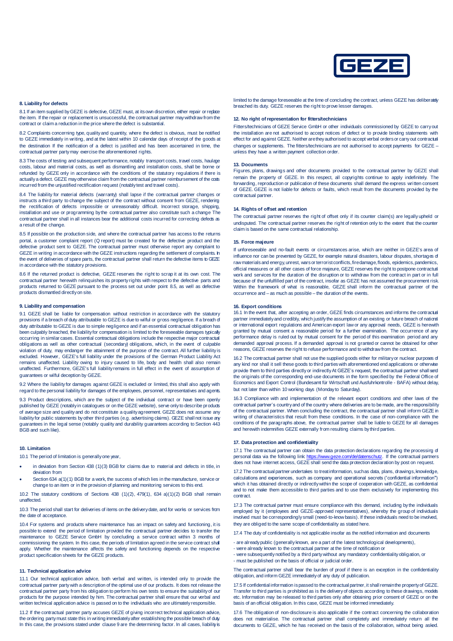

#### **8. Liability for defects**

8.1 If an item supplied by GEZE is defective, GEZE must, at its own discretion, either repair or replace the item. If the repair or replacement is unsuccessful, the contractual partner may withdraw from the contract or claim a reduction in the price where the defect is substantial.

8.2 Complaints concerning type, quality and quantity, where the defect is obvious, must be notified to GEZE immediately in writing, and at the latest within 10 calendar days of receipt of the goods at the destination If the notification of a defect is justified and has been ascertained in time, the contractual partner party may exercise the aforementioned rights.

8.3 The costs of testing and subsequent performance, notably transport costs, travel costs, haulage costs, labour and material costs, as well as dismantling and installation costs, shall be borne or refunded by GEZE only in accordance with the conditions of the statutory regulations if there is actually a defect. GEZE may otherwise claim from the contractual partner reimbursement of the costs incurred from the unjustified rectification request (notably test and travel costs).

8.4 The liability for material defects (warranty) shall lapse if the contractual partner changes or instructs a third party to change the subject of the contract without consent from GEZE, rendering the rectification of defects impossible or unreasonably difficult. Incorrect storage, shipping, installation and use or programming by the contractual partner also constitute such a change The contractual partner shall in all instances bear the additional costs incurred for correcting defects as a result of the change.

8.5 If possible on the production side, and where the contractual partner has access to the returns portal, a customer complaint report (Q report) must be created for the defective product and the defective product sent to GEZE. The contractual partner must otherwise report any complaint to GEZE in writing in accordance with the GEZE instructions regarding the settlement of complaints. In the event of deliveries of spare parts, the contractual partner shall return the defective items to GEZE in accordance with the statutory provisions.

8.6 If the returned product is defective, GEZE reserves the right to scrap it at its own cost. The contractual partner herewith relinquishes its property rights with respect to the defective parts and products returned to GEZE pursuant to the process set out under point 8.5, as well as defective products dismantled directly on site.

#### **9. Liability and compensation**

9.1 GEZE shall be liable for compensation without restriction in accordance with the statutory provisions if a breach of duty attributable to GEZE is due to wilful or gross negligence. If a breach of duty attributable to GEZE is due to simple negligence and if an essential contractual obligation has been culpably breached, the liability for compensation is limited to the foreseeable damages typically occurring in similar cases. Essential contractual obligations include the respective major contractual obligations as well as other contractual (secondary) obligations, which, in the event of culpable violation of duty, may endanger the attainment of the purpose of the contract. All further liability is excluded. However, GEZE's full liability under the provisions of the German Product Liability Act remains unaffected. Liability owing to injury caused to life, body and health shall also remain unaffected. Furthermore, GEZE's full liability remains in full effect in the event of assumption of guarantees or wilful deception by GEZE.

9.2 Where the liability for damages against GEZE is excluded or limited, this shall also apply with regard to the personal liability for damages of the employees, personnel, representatives and agents.

9.3 Product descriptions, which are the subject of the individual contract or have been openly published by GEZE (notably in catalogues or on the GEZE website), serve only to describe products of average size and quality and do not constitute a quality agreement. GEZE does not assume any liability for public statements by other third parties (e.g. advertising claims). GEZE shall not issue any guarantees in the legal sense (notably quality and durability guarantees according to Section 443 BGB and such like).

#### **10. Limitation**

10.1 The period of limitation is generally one year.

- in deviation from Section 438 (1)(3) BGB for claims due to material and defects in title, in deviation from
- Section 634 a(1)(1) BGB for a work, the success of which lies in the manufacture, service or change to an item or in the provision of planning and monitoring services to this end.

10.2 The statutory conditions of Sections 438  $(1)(2)$ , 479 $(1)$ , 634 a $(1)(2)$  BGB shall remain unaffected.

10.3 The period shall start for deliveries of items on the delivery date, and for works or services from the date of acceptance.

10.4 For systems and products where maintenance has an impact on safety and functioning, it is possible to extend the period of limitation provided the contractual partner decides to transfer the maintenance to GEZE Service GmbH by concluding a service contract within 3 months of commissioning the system. In this case, the periods of limitation agreed in the service contract shall apply. Whether the maintenance affects the safety and functioning depends on the respective product specification sheets for the GEZE products.

# **11. Technical application advice**

11.1 Our technical application advice, both verbal and written, is intended only to provide the contractual partner party with a description of the optimal use of our products. It does not release the contractual partner party from his obligation to perform his own tests to ensure the suitability of our products for the purpose intended by him. The contractual partner shall ensure that our verbal and written technical application advice is passed on to the individuals who are ultimately responsible.

11.2 If the contractual partner party accuses GEZE of giving incorrect technical application advice, the ordering party must state this in writing immediately after establishing the possible breach of duty. In this case, the provisions stated under clause 9 are the determining factor. In all cases, liability is

limited to the damage foreseeable at the time of concluding the contract, unless GEZE has deliberately breached its duty. GEZE reserves the right to prove lesser damages.

#### **12. No right of representation for fitters/technicians**

Fitters/technicians of GEZE Service GmbH or other individuals commissioned by GEZE to carry out the installation are not authorised to accept notices of defect or to provide binding statements with effect for and against GEZE. Neither are they authorised to accept verbal orders or carry out contractual changes or supplements. The fitters/technicians are not authorised to accept payments for GEZE – unless they have a written payment collection order.

# **13. Documents**

Figures, plans, drawings and other documents provided to the contractual partner by GEZE shall remain the property of GEZE. In this respect, all copyrights continue to apply indefinitely. The forwarding, reproduction or publication of these documents shall demand the express written consent of GEZE. GEZE is not liable for defects or faults, which result from the documents provided by the contractual partner.

#### **14. Rights of offset and retention**

The contractual partner reserves the right of offset only if its counter claim(s) are legally upheld or undisputed. The contractual partner reserves the right of retention only to the extent that the counter claim is based on the same contractual relationship.

## **15. Force majeure**

If unforeseeable and no-fault events or circumstances arise, which are neither in GEZE's area of influence nor can be prevented by GEZE, for example natural disasters, labour disputes, shortages of raw materials and energy, unrest, wars or terrorist conflicts, fire damage, floods, epidemics, pandemics, official measures or all other cases of force majeure, GEZE reserves the right to postpone contractual work and services for the duration of the disruption or to withdraw from the contract in part or in full because of the unfulfilled part of the contract, insofar as GEZE has not assumed the procurement risk. Within the framework of what is reasonable, GEZE shall inform the contractual partner of the occurrence and – as much as possible – the duration of the events.

#### **16. Export conditions**

16.1 In the event that, after accepting an order, GEZE finds circumstances and informs the contractual partner immediately and credibly, which justify the assumption of an existing or future breach of national or international export regulations and American export law or any approval needs, GEZE is herewith granted by mutual consent a reasonable period for a further examination. The occurrence of any performance delay is ruled out by mutual consent for the period of this examination period and any demanded approval process. If a demanded approval is not granted or cannot be obtained for other reasons, GEZE reserves the right to refuse performance and to withdraw from the contract.

16.2 The contractual partner shall not use the supplied goods either for military or nuclear purposes of any kind nor shall it sell these goods to third parties with aforementioned end applications or otherwise provide them to third parties directly or indirectly At GEZE's request, the contractual partner shall send provide them to third parties directly or indirectly At GEZE's request, the contractual partner shall send the originals of the corresponding end-use documents in the form specified by the Federal Office of Economics and Export Control (Bundesamt für Wirtschaft und Ausfuhrkontrolle - BAFA) without delay, but not later than within 10 working days (Monday to Saturday).

16.3 Compliance with and implementation of the relevant export conditions and other laws of the contractual partner's country and of the country where deliveries are to be made, are the responsibility of the contractual partner. When concluding the contract, the contractual partner shall inform GEZE in writing of characteristics that result from these conditions. In the case of non-compliance with the conditions of the paragraphs above, the contractual partner shall be liable to GEZE for all damages and herewith indemnifies GEZE externally from resulting claims by third parties.

# **17. Data protection and confidentiality**

17.1 The contractual partner can obtain the data protection declarations regarding the processing of personal data via the following link: [https://www.geze.com/de/datenschutz.](https://www.geze.com/de/datenschutz) If the contractual partners does not have internet access, GEZE shall send the data protection declaration by post on request.

17.2 The contractual partner undertakes to treat information, such as data, plans, drawings, knowledge, calculations and experiences, such as company and operational secrets ('confidential information"') which it has obtained directly or indirectly within the scope of cooperation with GEZE, as confidential and to not make them accessible to third parties and to use them exclusively for implementing this contract.

17.3 The contractual partner must ensure compliance with this demand, including by the individuals employed by it (employees and GEZE-approved representatives), whereby the group of individuals involved must be correspondingly small (need-to-know basis). If these individuals need to be involved, they are obliged to the same scope of confidentiality as stated here.

17.4 The duty of confidentiality is not applicable insofar as the notified information and documents

- are already public (generally known, are a part of the latest technological developments),
- were already known to the contractual partner at the time of notification or
- were subsequently notified by a third party without any mandatory confidentiality obligation, or - must be published on the basis of official or judicial order.

The contractual partner shall bear the burden of proof if there is an exception in the confidentiality obligation, and inform GEZE immediately of any duty of publication.

17.5 If confidential information is passed to the contractual partner, it shall remain the property of GEZE. Transfer to third parties is prohibited as is the delivery of objects according to these drawings, models etc. Information may be released to third parties only after obtaining prior consent of GEZE or on the basis of an official obligation. In this case, GEZE must be informed immediately.

17.6 The obligation of non-disclosure is also applicable if the contract concerning the collaboration does not materialise. The contractual partner shall completely and immediately return all the documents to GEZE, which he has received on the basis of the collaboration, without being asked.